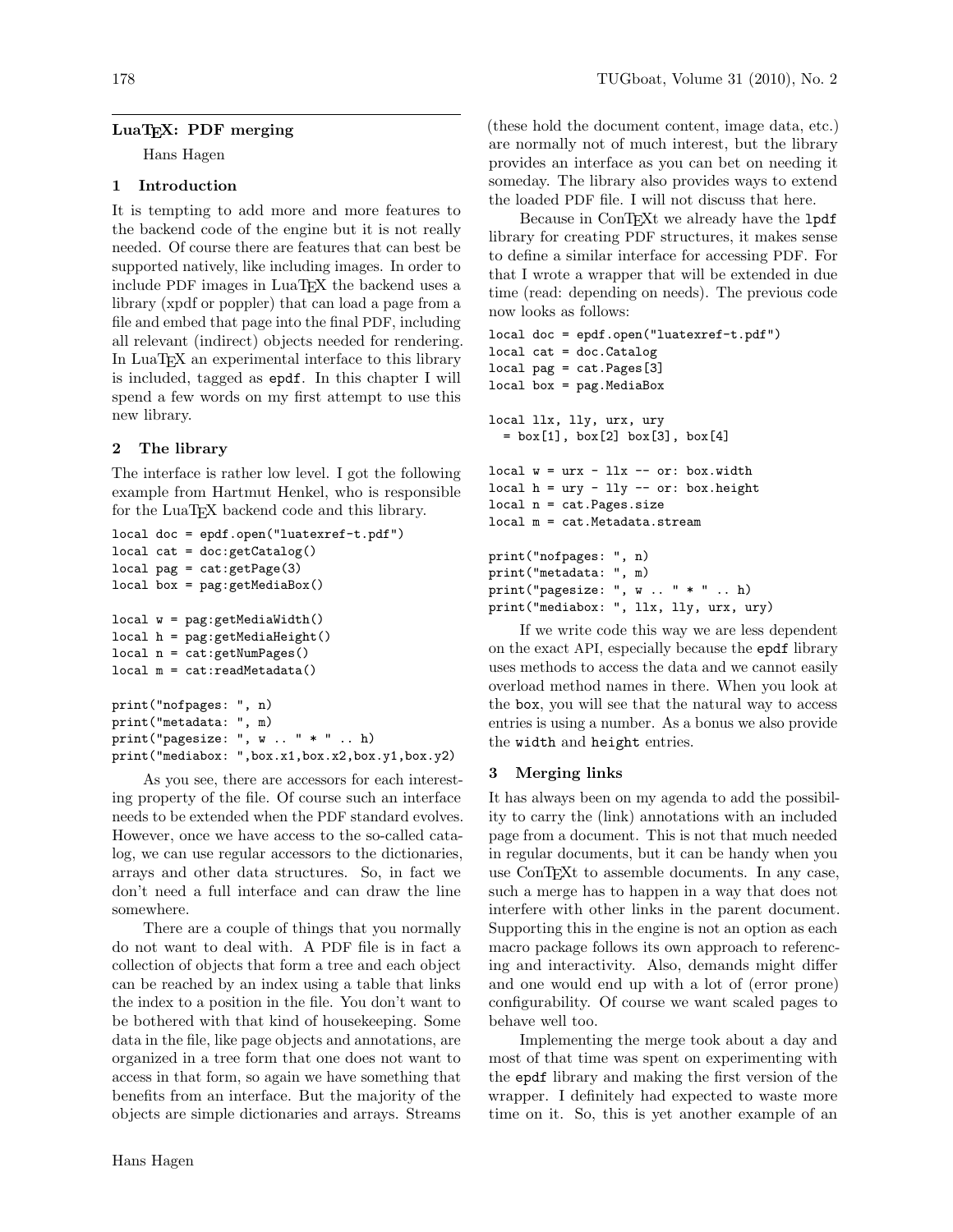## LuaT<sub>F</sub>X: PDF merging

Hans Hagen

## 1 Introduction

It is tempting to add more and more features to the backend code of the engine but it is not really needed. Of course there are features that can best be supported natively, like including images. In order to include PDF images in LuaT<sub>F</sub>X the backend uses a library (xpdf or poppler) that can load a page from a file and embed that page into the final PDF, including all relevant (indirect) objects needed for rendering. In LuaTEX an experimental interface to this library is included, tagged as epdf. In this chapter I will spend a few words on my first attempt to use this new library.

# 2 The library

The interface is rather low level. I got the following example from Hartmut Henkel, who is responsible for the LuaTEX backend code and this library.

```
local doc = epdf.open("luatexref-t.pdf")
local cat = doc:getCatalog()local pag = cat:getPage(3)
local box = pag:getMediaBox()
local w = pag:getMediaWidth()
local h = pag:getMediaHeight()local n = cat:getNumPages()
local m = cat:readMetadata()
print("nofpages: ", n)
print("metadata: ", m)
print("pagesize: ", w .. " * " .. h)
print("mediabox: ",box.x1,box.x2,box.y1,box.y2)
```
As you see, there are accessors for each interesting property of the file. Of course such an interface needs to be extended when the PDF standard evolves. However, once we have access to the so-called catalog, we can use regular accessors to the dictionaries, arrays and other data structures. So, in fact we don't need a full interface and can draw the line somewhere.

There are a couple of things that you normally do not want to deal with. A PDF file is in fact a collection of objects that form a tree and each object can be reached by an index using a table that links the index to a position in the file. You don't want to be bothered with that kind of housekeeping. Some data in the file, like page objects and annotations, are organized in a tree form that one does not want to access in that form, so again we have something that benefits from an interface. But the majority of the objects are simple dictionaries and arrays. Streams

(these hold the document content, image data, etc.) are normally not of much interest, but the library provides an interface as you can bet on needing it someday. The library also provides ways to extend the loaded PDF file. I will not discuss that here.

Because in ConTEXt we already have the 1pdf library for creating PDF structures, it makes sense to define a similar interface for accessing PDF. For that I wrote a wrapper that will be extended in due time (read: depending on needs). The previous code now looks as follows:

```
local doc = epdf.open("luatexref-t.pdf")
local cat = doc.Catalog
local pag = cat.Pages[3]
local box = pag.MediaBox
local llx, lly, urx, ury
  = box[1], box[2] box[3], box[4]
local w = urx - llx -- or: box<u>width</u>local h = ury - lly - or: box. heightlocal n = cat.Pages.size
local m = cat.Metadata.stream
print("nofpages: ", n)
print("metadata: ", m)
print("pagesize: ", w .. " * " .. h)
```
print("mediabox: ", llx, lly, urx, ury)

If we write code this way we are less dependent on the exact API, especially because the epdf library uses methods to access the data and we cannot easily overload method names in there. When you look at the box, you will see that the natural way to access entries is using a number. As a bonus we also provide the width and height entries.

### 3 Merging links

It has always been on my agenda to add the possibility to carry the (link) annotations with an included page from a document. This is not that much needed in regular documents, but it can be handy when you use ConTEXt to assemble documents. In any case, such a merge has to happen in a way that does not interfere with other links in the parent document. Supporting this in the engine is not an option as each macro package follows its own approach to referencing and interactivity. Also, demands might differ and one would end up with a lot of (error prone) configurability. Of course we want scaled pages to behave well too.

Implementing the merge took about a day and most of that time was spent on experimenting with the epdf library and making the first version of the wrapper. I definitely had expected to waste more time on it. So, this is yet another example of an